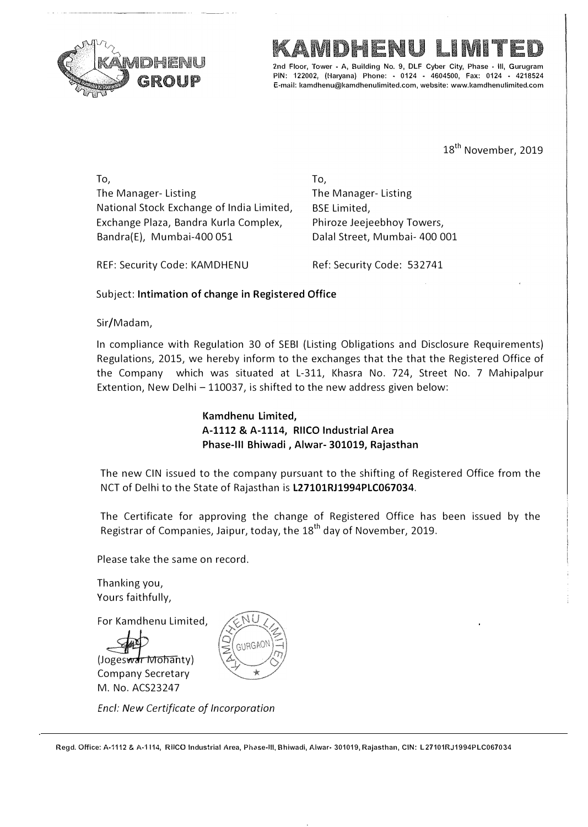

# IMI

2nd Floor, Tower - A, Building No. 9, DLF Cyber City, Phase PIN: 122002, (Haryana) Phone: - 0124 - 4604500, Fax: 0124 - 4218524 E-mail: kamdhenu@kamdhenulimited.com, website: www.kamdhenulimited.com

18<sup>th</sup> November, 2019

To, The Manager- Listing National Stock Exchange of India Limited, Exchange Plaza, Bandra Kurla Complex, Bandra(E), Mumbai-400 051

**To,**  The Manager- Listing BSE Limited, Phiroze Jeejeebhoy Towers, Dalal Street, Mumbai- 400 001

REF: Security Code: KAMDHENU Ref: Security Code: 532741

## Subject: **Intimation of change in Registered Office**

Sir/Madam,

In compliance with Regulation 30 of SEBI (Listing Obligations and Disclosure Requirements) Regulations, 2015, we hereby inform to the exchanges that the that the Registered Office of the Company which was situated at L-311, Khasra No. 724, Street No. 7 Mahipalpur Extention, New Delhi  $-110037$ , is shifted to the new address given below:

> **Kamdhenu Limited, A-1112 & A-1114, RIICO Industrial Area Phase-Ill Bhiwadi , Alwar- 301019, Rajasthan**

The new CIN issued to the company pursuant to the shifting of Registered Office from the NCT of Delhi to the State of Rajasthan is **L27101RJ1994PLC067034.** 

The Certificate for approving the change of Registered Office has been issued by the Registrar of Companies, Jaipur, today, the 18<sup>th</sup> day of November, 2019.

Please take the same on record.

Thanking you, Yours faithfully,

For Kamdhenu Limited,



*Encl: New Certificate of Incorporation*